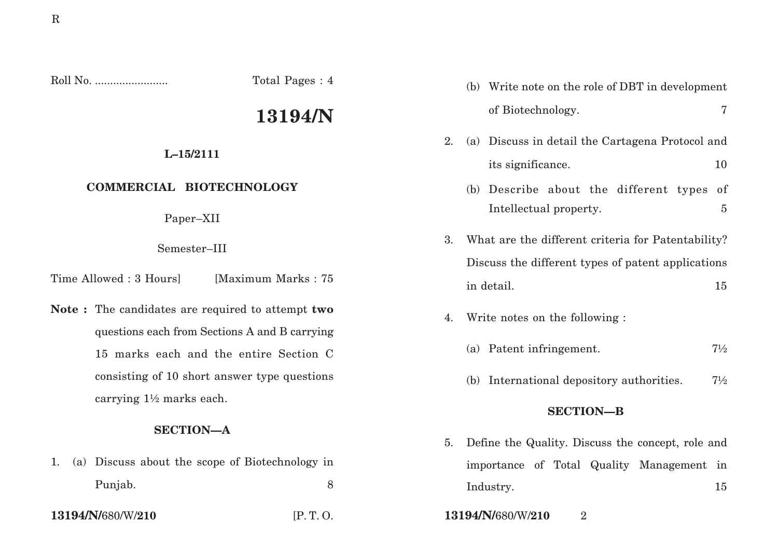Roll No. ........................ Total Pages : 4

# **13194/N**

# **L–15/2111**

# **COMMERCIAL BIOTECHNOLOGY**

Paper–XII

#### Semester–III

Time Allowed : 3 Hours [Maximum Marks : 75]

**Note :** The candidates are required to attempt **two** questions each from Sections A and B carrying 15 marks each and the entire Section C consisting of 10 short answer type questions carrying 1½ marks each.

# **SECTION—A**

1. (a) Discuss about the scope of Biotechnology in Punjab. 8

- (b) Write note on the role of DBT in development of Biotechnology. 7
- 2. (a) Discuss in detail the Cartagena Protocol and its significance. 10
	- (b) Describe about the different types of Intellectual property. 5
- 3. What are the different criteria for Patentability? Discuss the different types of patent applications in detail. 15
- 4. Write notes on the following :
	- (a) Patent infringement.  $7\frac{1}{2}$
	- (b) International depository authorities.  $7\frac{1}{2}$

#### **SECTION—B**

- 5. Define the Quality. Discuss the concept, role and importance of Total Quality Management in Industry. 15
- **13194/N/**680/W/**210** [P. T. O. **13194/N/**680/W/**210** 2